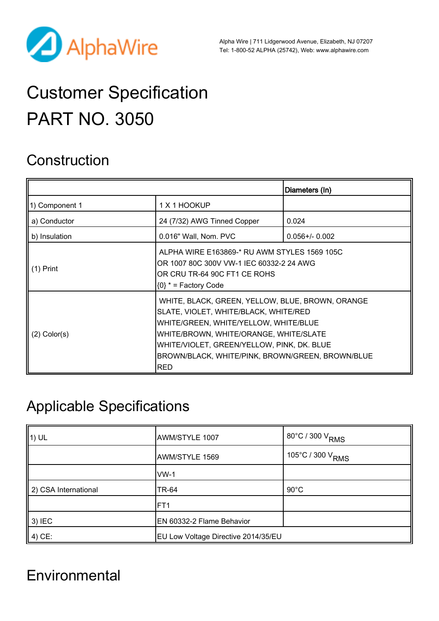

Alpha Wire | 711 Lidgerwood Avenue, Elizabeth, NJ 07207 Tel: 1-800-52 ALPHA (25742), Web: [www.alphawire.com](http://www.alphawire.com)

# Customer Specification PART NO. 3050

## **Construction**

|                   |                                                                                                                                                                                                                                                                                              | Diameters (In)      |
|-------------------|----------------------------------------------------------------------------------------------------------------------------------------------------------------------------------------------------------------------------------------------------------------------------------------------|---------------------|
| 1) Component 1    | 1 X 1 HOOKUP                                                                                                                                                                                                                                                                                 |                     |
| a) Conductor      | 24 (7/32) AWG Tinned Copper                                                                                                                                                                                                                                                                  | 0.024               |
| b) Insulation     | 0.016" Wall, Nom. PVC                                                                                                                                                                                                                                                                        | $0.056 + / - 0.002$ |
| (1) Print         | ALPHA WIRE E163869-* RU AWM STYLES 1569 105C<br>OR 1007 80C 300V VW-1 IEC 60332-2 24 AWG<br>OR CRU TR-64 90C FT1 CE ROHS<br>$\{0\}$ * = Factory Code                                                                                                                                         |                     |
| $(2)$ Color $(s)$ | WHITE, BLACK, GREEN, YELLOW, BLUE, BROWN, ORANGE<br>SLATE, VIOLET, WHITE/BLACK, WHITE/RED<br>WHITE/GREEN, WHITE/YELLOW, WHITE/BLUE<br>WHITE/BROWN, WHITE/ORANGE, WHITE/SLATE<br>WHITE/VIOLET, GREEN/YELLOW, PINK, DK. BLUE<br>BROWN/BLACK, WHITE/PINK, BROWN/GREEN, BROWN/BLUE<br><b>RED</b> |                     |

## Applicable Specifications

| $\vert$ 1) UL        | AWM/STYLE 1007                      | 80°C / 300 V <sub>RMS</sub>    |
|----------------------|-------------------------------------|--------------------------------|
|                      | AWM/STYLE 1569                      | , 105°C / 300 V <sub>RMS</sub> |
|                      | $WW-1$                              |                                |
| 2) CSA International | TR-64                               | $90^{\circ}$ C                 |
|                      | FT <sub>1</sub>                     |                                |
| $3)$ IEC             | EN 60332-2 Flame Behavior           |                                |
| 4) CE:               | EU Low Voltage Directive 2014/35/EU |                                |

## **Environmental**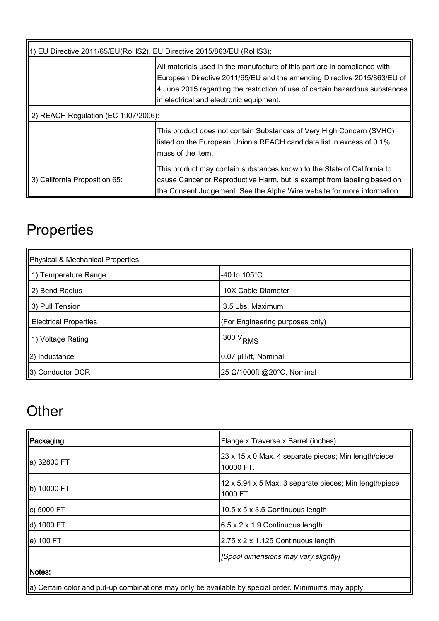| 1) EU Directive 2011/65/EU(RoHS2), EU Directive 2015/863/EU (RoHS3): |                                                                                                                                                                                                                                                                                 |  |
|----------------------------------------------------------------------|---------------------------------------------------------------------------------------------------------------------------------------------------------------------------------------------------------------------------------------------------------------------------------|--|
|                                                                      | All materials used in the manufacture of this part are in compliance with<br>European Directive 2011/65/EU and the amending Directive 2015/863/EU of<br>4 June 2015 regarding the restriction of use of certain hazardous substances<br>in electrical and electronic equipment. |  |
| 2) REACH Regulation (EC 1907/2006):                                  |                                                                                                                                                                                                                                                                                 |  |
|                                                                      | This product does not contain Substances of Very High Concern (SVHC)<br>listed on the European Union's REACH candidate list in excess of 0.1%<br>mass of the item.                                                                                                              |  |
| 3) California Proposition 65:                                        | This product may contain substances known to the State of California to<br>cause Cancer or Reproductive Harm, but is exempt from labeling based on<br>the Consent Judgement. See the Alpha Wire website for more information.                                                   |  |

## **Properties**

| Physical & Mechanical Properties |                                 |  |
|----------------------------------|---------------------------------|--|
| 1) Temperature Range             | -40 to $105^{\circ}$ C          |  |
| 2) Bend Radius                   | 10X Cable Diameter              |  |
| 3) Pull Tension                  | 3.5 Lbs, Maximum                |  |
| <b>Electrical Properties</b>     | (For Engineering purposes only) |  |
| 1) Voltage Rating                | $300 V_{RMS}$                   |  |
| 2) Inductance                    | 0.07 µH/ft, Nominal             |  |
| 3) Conductor DCR                 | 25 Ω/1000ft @20°C, Nominal      |  |

## **Other**

| Packaging                                                                                                        | Flange x Traverse x Barrel (inches)                                |  |
|------------------------------------------------------------------------------------------------------------------|--------------------------------------------------------------------|--|
| ∥a) 32800 FT                                                                                                     | 23 x 15 x 0 Max. 4 separate pieces; Min length/piece<br>10000 FT.  |  |
| b) 10000 FT                                                                                                      | 12 x 5.94 x 5 Max. 3 separate pieces; Min length/piece<br>1000 FT. |  |
| c) 5000 FT                                                                                                       | 10.5 x 5 x 3.5 Continuous length                                   |  |
| d) 1000 FT                                                                                                       | 6.5 x 2 x 1.9 Continuous length                                    |  |
| e) 100 FT                                                                                                        | $2.75 \times 2 \times 1.125$ Continuous length                     |  |
|                                                                                                                  | [Spool dimensions may vary slightly]                               |  |
| Notes:                                                                                                           |                                                                    |  |
| $\parallel$ a) Certain color and put-up combinations may only be available by special order. Minimums may apply. |                                                                    |  |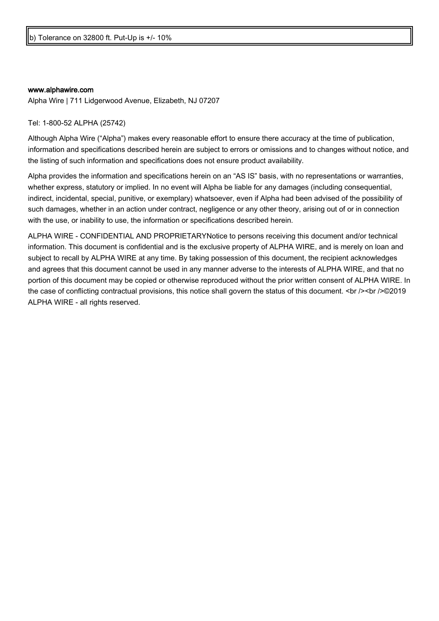#### [www.alphawire.com](http://www.alphawire.com)

Alpha Wire | 711 Lidgerwood Avenue, Elizabeth, NJ 07207

Tel: 1-800-52 ALPHA (25742)

Although Alpha Wire ("Alpha") makes every reasonable effort to ensure there accuracy at the time of publication, information and specifications described herein are subject to errors or omissions and to changes without notice, and the listing of such information and specifications does not ensure product availability.

Alpha provides the information and specifications herein on an "AS IS" basis, with no representations or warranties, whether express, statutory or implied. In no event will Alpha be liable for any damages (including consequential, indirect, incidental, special, punitive, or exemplary) whatsoever, even if Alpha had been advised of the possibility of such damages, whether in an action under contract, negligence or any other theory, arising out of or in connection with the use, or inability to use, the information or specifications described herein.

ALPHA WIRE - CONFIDENTIAL AND PROPRIETARYNotice to persons receiving this document and/or technical information. This document is confidential and is the exclusive property of ALPHA WIRE, and is merely on loan and subject to recall by ALPHA WIRE at any time. By taking possession of this document, the recipient acknowledges and agrees that this document cannot be used in any manner adverse to the interests of ALPHA WIRE, and that no portion of this document may be copied or otherwise reproduced without the prior written consent of ALPHA WIRE. In the case of conflicting contractual provisions, this notice shall govern the status of this document. <br /><br />©2019 ALPHA WIRE - all rights reserved.